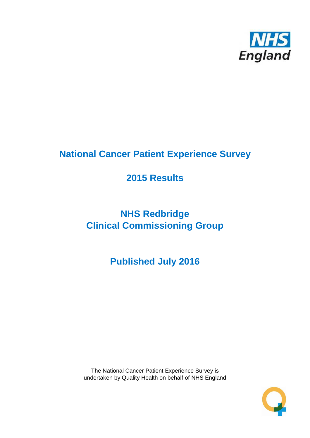

# **National Cancer Patient Experience Survey**

# **2015 Results**

# **NHS Redbridge Clinical Commissioning Group**

# **Published July 2016**

The National Cancer Patient Experience Survey is undertaken by Quality Health on behalf of NHS England

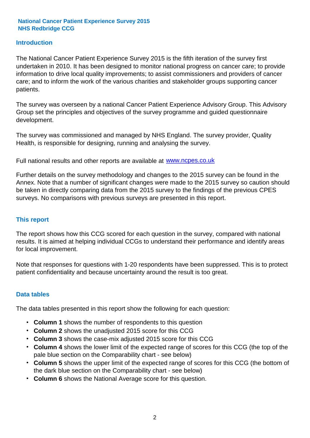### **Introduction**

The National Cancer Patient Experience Survey 2015 is the fifth iteration of the survey first undertaken in 2010. It has been designed to monitor national progress on cancer care; to provide information to drive local quality improvements; to assist commissioners and providers of cancer care; and to inform the work of the various charities and stakeholder groups supporting cancer patients.

The survey was overseen by a national Cancer Patient Experience Advisory Group. This Advisory Group set the principles and objectives of the survey programme and guided questionnaire development.

The survey was commissioned and managed by NHS England. The survey provider, Quality Health, is responsible for designing, running and analysing the survey.

Full national results and other reports are available at www.ncpes.co.uk

Further details on the survey methodology and changes to the 2015 survey can be found in the Annex. Note that a number of significant changes were made to the 2015 survey so caution should be taken in directly comparing data from the 2015 survey to the findings of the previous CPES surveys. No comparisons with previous surveys are presented in this report.

#### **This report**

The report shows how this CCG scored for each question in the survey, compared with national results. It is aimed at helping individual CCGs to understand their performance and identify areas for local improvement.

Note that responses for questions with 1-20 respondents have been suppressed. This is to protect patient confidentiality and because uncertainty around the result is too great.

#### **Data tables**

The data tables presented in this report show the following for each question:

- **Column 1** shows the number of respondents to this question
- **Column 2** shows the unadjusted 2015 score for this CCG
- **Column 3** shows the case-mix adjusted 2015 score for this CCG
- **Column 4** shows the lower limit of the expected range of scores for this CCG (the top of the pale blue section on the Comparability chart - see below)
- **Column 5** shows the upper limit of the expected range of scores for this CCG (the bottom of the dark blue section on the Comparability chart - see below)
- **Column 6** shows the National Average score for this question.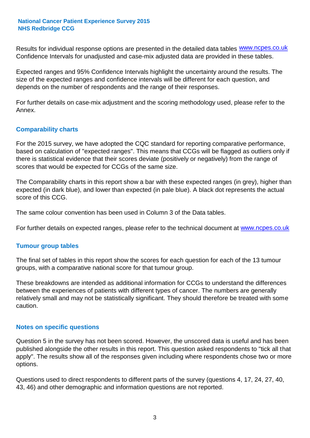Results for individual response options are presented in the detailed data tables **WWW.ncpes.co.uk** Confidence Intervals for unadjusted and case-mix adjusted data are provided in these tables.

Expected ranges and 95% Confidence Intervals highlight the uncertainty around the results. The size of the expected ranges and confidence intervals will be different for each question, and depends on the number of respondents and the range of their responses.

For further details on case-mix adjustment and the scoring methodology used, please refer to the Annex.

### **Comparability charts**

For the 2015 survey, we have adopted the CQC standard for reporting comparative performance, based on calculation of "expected ranges". This means that CCGs will be flagged as outliers only if there is statistical evidence that their scores deviate (positively or negatively) from the range of scores that would be expected for CCGs of the same size.

The Comparability charts in this report show a bar with these expected ranges (in grey), higher than expected (in dark blue), and lower than expected (in pale blue). A black dot represents the actual score of this CCG.

The same colour convention has been used in Column 3 of the Data tables.

For further details on expected ranges, please refer to the technical document at **www.ncpes.co.uk** 

#### **Tumour group tables**

The final set of tables in this report show the scores for each question for each of the 13 tumour groups, with a comparative national score for that tumour group.

These breakdowns are intended as additional information for CCGs to understand the differences between the experiences of patients with different types of cancer. The numbers are generally relatively small and may not be statistically significant. They should therefore be treated with some caution.

#### **Notes on specific questions**

Question 5 in the survey has not been scored. However, the unscored data is useful and has been published alongside the other results in this report. This question asked respondents to "tick all that apply". The results show all of the responses given including where respondents chose two or more options.

Questions used to direct respondents to different parts of the survey (questions 4, 17, 24, 27, 40, 43, 46) and other demographic and information questions are not reported.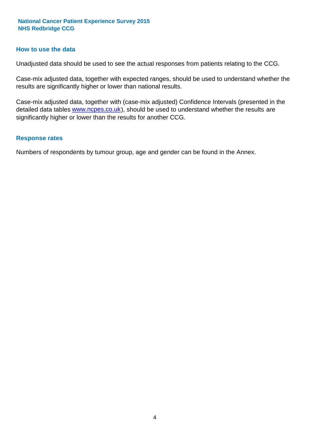#### **How to use the data**

Unadjusted data should be used to see the actual responses from patients relating to the CCG.

Case-mix adjusted data, together with expected ranges, should be used to understand whether the results are significantly higher or lower than national results.

Case-mix adjusted data, together with (case-mix adjusted) Confidence Intervals (presented in the detailed data tables **www.ncpes.co.uk**), should be used to understand whether the results are significantly higher or lower than the results for another CCG.

#### **Response rates**

Numbers of respondents by tumour group, age and gender can be found in the Annex.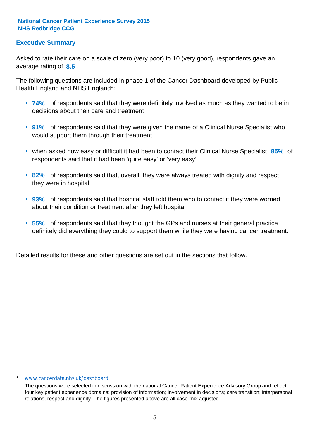## **Executive Summary**

average rating of 8.5. Asked to rate their care on a scale of zero (very poor) to 10 (very good), respondents gave an

The following questions are included in phase 1 of the Cancer Dashboard developed by Public Health England and NHS England\*:

- **74%** of respondents said that they were definitely involved as much as they wanted to be in decisions about their care and treatment
- **91%** of respondents said that they were given the name of a Clinical Nurse Specialist who would support them through their treatment
- when asked how easy or difficult it had been to contact their Clinical Nurse Specialist 85% of respondents said that it had been 'quite easy' or 'very easy'
- **82%** of respondents said that, overall, they were always treated with dignity and respect they were in hospital
- **93%** of respondents said that hospital staff told them who to contact if they were worried about their condition or treatment after they left hospital
- **55%** of respondents said that they thought the GPs and nurses at their general practice definitely did everything they could to support them while they were having cancer treatment.

Detailed results for these and other questions are set out in the sections that follow.

#### www.cancerdata.nhs.uk/dashboard

The questions were selected in discussion with the national Cancer Patient Experience Advisory Group and reflect four key patient experience domains: provision of information; involvement in decisions; care transition; interpersonal relations, respect and dignity. The figures presented above are all case-mix adjusted.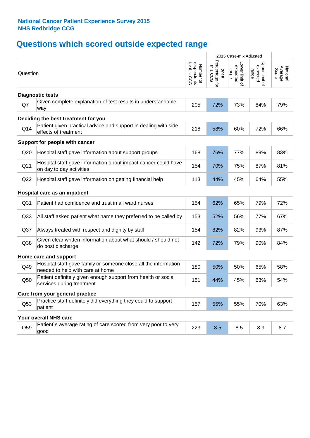## **Questions which scored outside expected range**

|                 |                                                                                                     |                                          |                                    | 2015 Case-mix Adjusted              |                                     |                              |
|-----------------|-----------------------------------------------------------------------------------------------------|------------------------------------------|------------------------------------|-------------------------------------|-------------------------------------|------------------------------|
| Question        |                                                                                                     | respondents<br>for this CCG<br>Number of | Percentage for<br>this CCG<br>2015 | Lower limit of<br>expected<br>range | Upper limit of<br>expected<br>range | National<br>Average<br>Score |
|                 | <b>Diagnostic tests</b>                                                                             |                                          |                                    |                                     |                                     |                              |
| Q7              | Given complete explanation of test results in understandable<br>way                                 | 205                                      | 72%                                | 73%                                 | 84%                                 | 79%                          |
|                 | Deciding the best treatment for you                                                                 |                                          |                                    |                                     |                                     |                              |
| Q14             | Patient given practical advice and support in dealing with side<br>effects of treatment             | 218                                      | 58%                                | 60%                                 | 72%                                 | 66%                          |
|                 | Support for people with cancer                                                                      |                                          |                                    |                                     |                                     |                              |
| Q20             | Hospital staff gave information about support groups                                                | 168                                      | 76%                                | 77%                                 | 89%                                 | 83%                          |
| Q21             | Hospital staff gave information about impact cancer could have<br>on day to day activities          | 154                                      | 70%                                | 75%                                 | 87%                                 | 81%                          |
| Q22             | Hospital staff gave information on getting financial help                                           | 113                                      | 44%                                | 45%                                 | 64%                                 | 55%                          |
|                 | Hospital care as an inpatient                                                                       |                                          |                                    |                                     |                                     |                              |
| Q <sub>31</sub> | Patient had confidence and trust in all ward nurses                                                 | 154                                      | 62%                                | 65%                                 | 79%                                 | 72%                          |
| Q <sub>33</sub> | All staff asked patient what name they preferred to be called by                                    | 153                                      | 52%                                | 56%                                 | 77%                                 | 67%                          |
| Q <sub>37</sub> | Always treated with respect and dignity by staff                                                    | 154                                      | 82%                                | 82%                                 | 93%                                 | 87%                          |
| Q38             | Given clear written information about what should / should not<br>do post discharge                 | 142                                      | 72%                                | 79%                                 | 90%                                 | 84%                          |
|                 | Home care and support                                                                               |                                          |                                    |                                     |                                     |                              |
| Q49             | Hospital staff gave family or someone close all the information<br>needed to help with care at home | 180                                      | 50%                                | 50%                                 | 65%                                 | 58%                          |
| Q50             | Patient definitely given enough support from health or social<br>services during treatment          | 151                                      | 44%                                | 45%                                 | 63%                                 | 54%                          |
|                 | Care from your general practice                                                                     |                                          |                                    |                                     |                                     |                              |
| Q53             | Practice staff definitely did everything they could to support<br>patient                           | 157                                      | 55%                                | 55%                                 | 70%                                 | 63%                          |
|                 | Your overall NHS care                                                                               |                                          |                                    |                                     |                                     |                              |
| Q59             | Patient's average rating of care scored from very poor to very<br>good                              | 223                                      | 8.5                                | 8.5                                 | 8.9                                 | 8.7                          |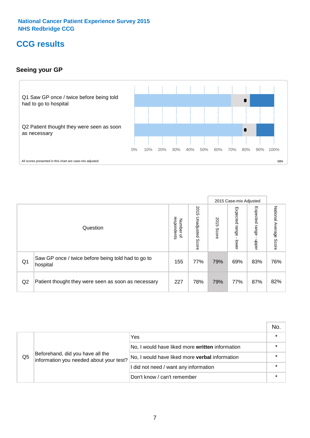## **CCG results**

## **Seeing your GP**



|    |                                                                |                                              |                             |               | 2015 Case-mix Adjusted     |                            |                           |
|----|----------------------------------------------------------------|----------------------------------------------|-----------------------------|---------------|----------------------------|----------------------------|---------------------------|
|    | Question                                                       | respondents<br>Number<br>$\overline{\sigma}$ | 2015<br>Unadjusted<br>Score | 2015<br>Score | Expected<br>range<br>lower | Expected<br>range<br>nbber | National Average<br>Score |
| Q1 | Saw GP once / twice before being told had to go to<br>hospital | 155                                          | 77%                         | 79%           | 69%                        | 83%                        | 76%                       |
| Q2 | Patient thought they were seen as soon as necessary            | 227                                          | 78%                         | 79%           | 77%                        | 87%                        | 82%                       |

|    |                                                                             |                                                 | No. |
|----|-----------------------------------------------------------------------------|-------------------------------------------------|-----|
|    | Beforehand, did you have all the<br>information you needed about your test? | Yes                                             |     |
|    |                                                                             | No, I would have liked more written information |     |
| Q5 |                                                                             | No, I would have liked more verbal information  |     |
|    |                                                                             | I did not need / want any information           |     |
|    |                                                                             | Don't know / can't remember                     |     |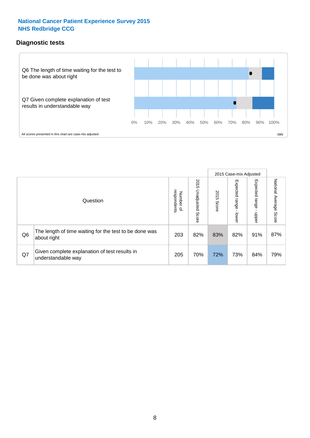## **Diagnostic tests**



|                |                                                                       |                                   |                             |               | 2015 Case-mix Adjusted  |                         |                           |
|----------------|-----------------------------------------------------------------------|-----------------------------------|-----------------------------|---------------|-------------------------|-------------------------|---------------------------|
|                | Question                                                              | respondents<br>Number<br>$\Omega$ | 2015<br>Unadjusted<br>Score | 2015<br>Score | Expected range<br>lower | Expected range<br>nbber | National Average<br>Score |
| Q <sub>6</sub> | The length of time waiting for the test to be done was<br>about right | 203                               | 82%                         | 83%           | 82%                     | 91%                     | 87%                       |
| Q7             | Given complete explanation of test results in<br>understandable way   | 205                               | 70%                         | 72%           | 73%                     | 84%                     | 79%                       |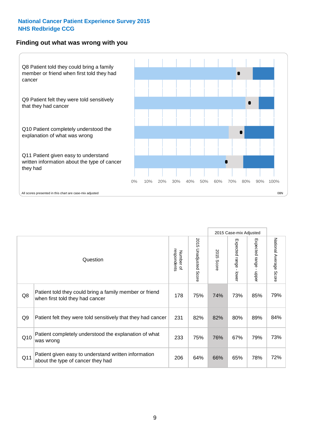### **Finding out what was wrong with you**



|                |                                                                                            |                          |                       |               | 2015 Case-mix Adjusted                  |                                           |                        |
|----------------|--------------------------------------------------------------------------------------------|--------------------------|-----------------------|---------------|-----------------------------------------|-------------------------------------------|------------------------|
|                | Question                                                                                   | respondents<br>Number of | 2015 Unadjusted Score | 2015<br>Score | Expected range<br>$\mathbf{I}$<br>lower | Expected range<br>$\blacksquare$<br>nbber | National Average Score |
| Q8             | Patient told they could bring a family member or friend<br>when first told they had cancer | 178                      | 75%                   | 74%           | 73%                                     | 85%                                       | 79%                    |
| Q <sub>9</sub> | Patient felt they were told sensitively that they had cancer                               | 231                      | 82%                   | 82%           | 80%                                     | 89%                                       | 84%                    |
| Q10            | Patient completely understood the explanation of what<br>was wrong                         | 233                      | 75%                   | 76%           | 67%                                     | 79%                                       | 73%                    |
| Q11            | Patient given easy to understand written information<br>about the type of cancer they had  | 206                      | 64%                   | 66%           | 65%                                     | 78%                                       | 72%                    |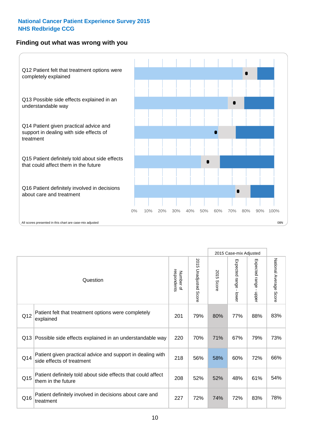## **Finding out what was wrong with you**



|     |                                                                                         |                          |                       |               | 2015 Case-mix Adjusted                  |                           |                        |
|-----|-----------------------------------------------------------------------------------------|--------------------------|-----------------------|---------------|-----------------------------------------|---------------------------|------------------------|
|     | Question                                                                                | respondents<br>Number of | 2015 Unadjusted Score | 2015<br>Score | Expected range<br>$\mathbf{r}$<br>lower | Expected range -<br>nbber | National Average Score |
| Q12 | Patient felt that treatment options were completely<br>explained                        | 201                      | 79%                   | 80%           | 77%                                     | 88%                       | 83%                    |
| Q13 | Possible side effects explained in an understandable way                                | 220                      | 70%                   | 71%           | 67%                                     | 79%                       | 73%                    |
| Q14 | Patient given practical advice and support in dealing with<br>side effects of treatment | 218                      | 56%                   | 58%           | 60%                                     | 72%                       | 66%                    |
| Q15 | Patient definitely told about side effects that could affect<br>them in the future      | 208                      | 52%                   | 52%           | 48%                                     | 61%                       | 54%                    |
| Q16 | Patient definitely involved in decisions about care and<br>treatment                    | 227                      | 72%                   | 74%           | 72%                                     | 83%                       | 78%                    |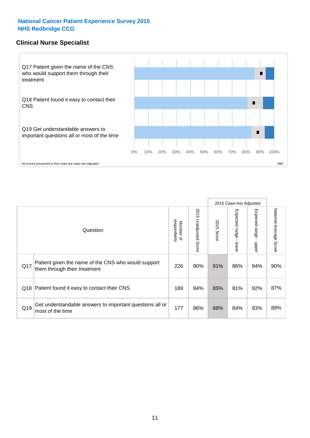## **Clinical Nurse Specialist**



|     |                                                                                     |                          |                       |               | 2015 Case-mix Adjusted  |                         |                        |
|-----|-------------------------------------------------------------------------------------|--------------------------|-----------------------|---------------|-------------------------|-------------------------|------------------------|
|     | Question                                                                            | respondents<br>Number of | 2015 Unadjusted Score | 2015<br>Score | Expected range<br>lower | Expected range<br>nbber | National Average Score |
| Q17 | Patient given the name of the CNS who would support<br>them through their treatment | 226                      | 90%                   | 91%           | 86%                     | 94%                     | 90%                    |
|     | Q18 Patient found it easy to contact their CNS                                      | 189                      | 84%                   | 85%           | 81%                     | 92%                     | 87%                    |
| Q19 | Get understandable answers to important questions all or<br>most of the time        | 177                      | 86%                   | 88%           | 84%                     | 93%                     | 89%                    |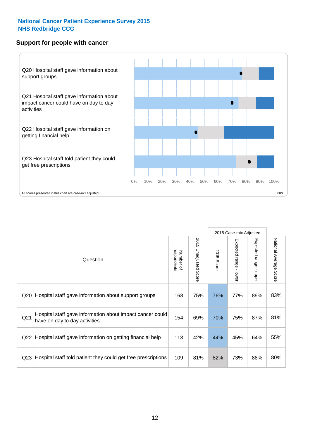### **Support for people with cancer**



|                 |                                                                                            |                          |                                 |                      | 2015 Case-mix Adjusted  |                           |                        |
|-----------------|--------------------------------------------------------------------------------------------|--------------------------|---------------------------------|----------------------|-------------------------|---------------------------|------------------------|
|                 | Question                                                                                   | respondents<br>Number of | 2015<br><b>Unadjusted Score</b> | 2015<br><b>Score</b> | Expected range<br>lower | Expected range<br>- nbber | National Average Score |
| Q <sub>20</sub> | Hospital staff gave information about support groups                                       | 168                      | 75%                             | 76%                  | 77%                     | 89%                       | 83%                    |
| Q <sub>21</sub> | Hospital staff gave information about impact cancer could<br>have on day to day activities | 154                      | 69%                             | 70%                  | 75%                     | 87%                       | 81%                    |
| Q <sub>22</sub> | Hospital staff gave information on getting financial help                                  | 113                      | 42%                             | 44%                  | 45%                     | 64%                       | 55%                    |
| Q <sub>23</sub> | Hospital staff told patient they could get free prescriptions                              | 109                      | 81%                             | 82%                  | 73%                     | 88%                       | 80%                    |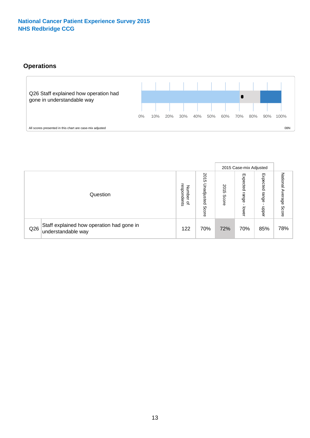## **Operations**



|     |                                                                 |                                              |                             |                   | 2015 Case-mix Adjusted     |                            |                              |
|-----|-----------------------------------------------------------------|----------------------------------------------|-----------------------------|-------------------|----------------------------|----------------------------|------------------------------|
|     | Question                                                        | respondents<br>Number<br>$\overline{\sigma}$ | 2015<br>Unadjusted<br>Score | 201<br>c<br>Score | Expected<br>range<br>lower | Expected<br>range<br>doper | National<br>Average<br>Score |
| Q26 | Staff explained how operation had gone in<br>understandable way | 122                                          | 70%                         | 72%               | 70%                        | 85%                        | 78%                          |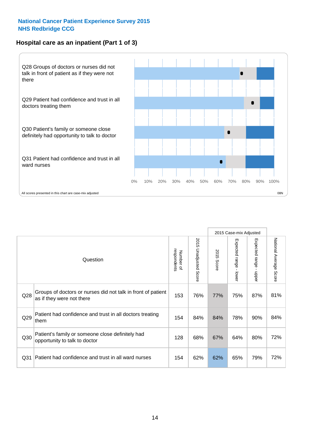## **Hospital care as an inpatient (Part 1 of 3)**



All scores presented in this chart are case-mix adjusted (38N) and the extent of the second scores presented in this chart are case-mix adjusted (38N) and the scores presented in this chart are case-mix adjusted

|                 |                                                                                           |                          |                       |               | 2015 Case-mix Adjusted                  |                                           |                        |
|-----------------|-------------------------------------------------------------------------------------------|--------------------------|-----------------------|---------------|-----------------------------------------|-------------------------------------------|------------------------|
|                 | Question                                                                                  | respondents<br>Number of | 2015 Unadjusted Score | 2015<br>Score | Expected range<br>$\mathbf{r}$<br>lower | Expected range<br>$\blacksquare$<br>nbber | National Average Score |
| Q28             | Groups of doctors or nurses did not talk in front of patient<br>as if they were not there | 153                      | 76%                   | 77%           | 75%                                     | 87%                                       | 81%                    |
| Q29             | Patient had confidence and trust in all doctors treating<br>them                          | 154                      | 84%                   | 84%           | 78%                                     | 90%                                       | 84%                    |
| Q30             | Patient's family or someone close definitely had<br>opportunity to talk to doctor         | 128                      | 68%                   | 67%           | 64%                                     | 80%                                       | 72%                    |
| Q <sub>31</sub> | Patient had confidence and trust in all ward nurses                                       | 154                      | 62%                   | 62%           | 65%                                     | 79%                                       | 72%                    |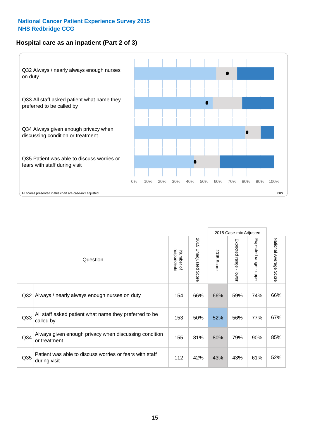## **Hospital care as an inpatient (Part 2 of 3)**



2015 Case-mix Adjusted National Average Score 2015 Unadjusted Score Expected range - lower Expected range - upper 2015 Unadjusted Score Expected range - upper Expected range - lower Number of<br>respondents respondents 2015 Score 2015 Score Number of Question Q32 154 66% 66% 59% 74% Always / nearly always enough nurses on duty 66% Q33 153 50% 52% 56% 77% All staff asked patient what name they preferred to be called by 67% Q34 155 81% 80% 79% 90% Always given enough privacy when discussing condition or treatment 85% Patient was able to discuss worries or fears with staff during visit during visit  $\frac{32}{3}$  and  $\frac{32}{3}$  and  $\frac{32}{3}$  and  $\frac{32}{3}$  and  $\frac{32}{3}$  and  $\frac{32}{3}$  and  $\frac{32}{3}$  and  $\frac{32}{3}$  $Q35$  | distribution with the case of the control of the control control and the control of the control of the control of the control of the control of the control of the control of the control of the control of the contr

National Average Score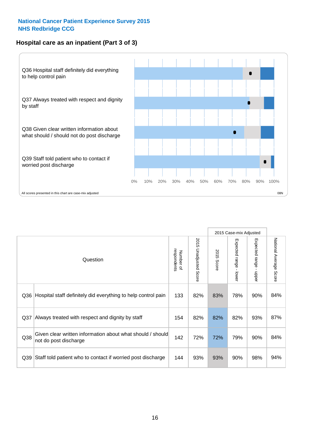## **Hospital care as an inpatient (Part 3 of 3)**



|                 |                                                                                     |                          |                                 |               | 2015 Case-mix Adjusted                    |                           |                        |
|-----------------|-------------------------------------------------------------------------------------|--------------------------|---------------------------------|---------------|-------------------------------------------|---------------------------|------------------------|
|                 | Question                                                                            | respondents<br>Number of | 2015<br><b>Unadjusted Score</b> | 2015<br>Score | Expected range<br>$\blacksquare$<br>lower | Expected range -<br>nbber | National Average Score |
| Q36             | Hospital staff definitely did everything to help control pain                       | 133                      | 82%                             | 83%           | 78%                                       | 90%                       | 84%                    |
| Q37             | Always treated with respect and dignity by staff                                    | 154                      | 82%                             | 82%           | 82%                                       | 93%                       | 87%                    |
| Q38             | Given clear written information about what should / should<br>not do post discharge | 142                      | 72%                             | 72%           | 79%                                       | 90%                       | 84%                    |
| Q <sub>39</sub> | Staff told patient who to contact if worried post discharge                         | 144                      | 93%                             | 93%           | 90%                                       | 98%                       | 94%                    |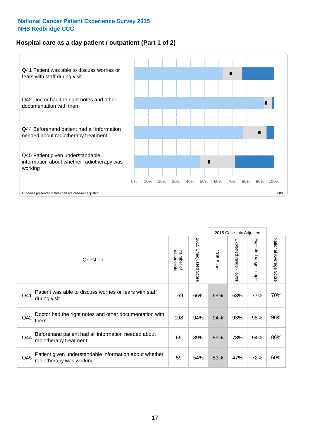## **Hospital care as a day patient / outpatient (Part 1 of 2)**



|     |                                                                                    |                          |                                 |                      | 2015 Case-mix Adjusted                  |                                         |                        |
|-----|------------------------------------------------------------------------------------|--------------------------|---------------------------------|----------------------|-----------------------------------------|-----------------------------------------|------------------------|
|     | Question                                                                           | respondents<br>Number of | 2015<br><b>Unadjusted Score</b> | 2015<br><b>Score</b> | Expected range<br>$\mathbf{r}$<br>lower | Expected range<br>$\mathbf{I}$<br>nbber | National Average Score |
| Q41 | Patient was able to discuss worries or fears with staff<br>during visit            | 169                      | 66%                             | 69%                  | 63%                                     | 77%                                     | 70%                    |
| Q42 | Doctor had the right notes and other documentation with<br>them                    | 198                      | 94%                             | 94%                  | 93%                                     | 98%                                     | 96%                    |
| Q44 | Beforehand patient had all information needed about<br>radiotherapy treatment      | 65                       | 89%                             | 89%                  | 78%                                     | 94%                                     | 86%                    |
| Q45 | Patient given understandable information about whether<br>radiotherapy was working | 59                       | 54%                             | 53%                  | 47%                                     | 72%                                     | 60%                    |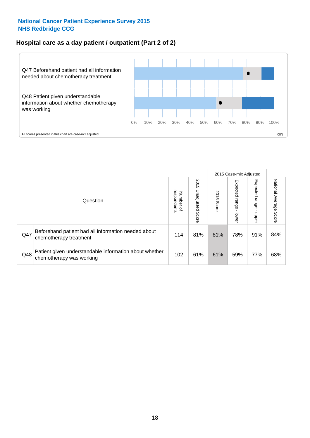## **Hospital care as a day patient / outpatient (Part 2 of 2)**



|     |                                                                                    |                                       |                             |               |                              | 2015 Case-mix Adjusted  |                           |
|-----|------------------------------------------------------------------------------------|---------------------------------------|-----------------------------|---------------|------------------------------|-------------------------|---------------------------|
|     | Question                                                                           | respondents<br>Number<br>$\mathbf{Q}$ | 2015<br>Unadjusted<br>Score | 2015<br>Score | Expected<br>I range<br>lower | Expected range<br>nbber | National Average<br>Score |
| Q47 | Beforehand patient had all information needed about<br>chemotherapy treatment      | 114                                   | 81%                         | 81%           | 78%                          | 91%                     | 84%                       |
| Q48 | Patient given understandable information about whether<br>chemotherapy was working | 102                                   | 61%                         | 61%           | 59%                          | 77%                     | 68%                       |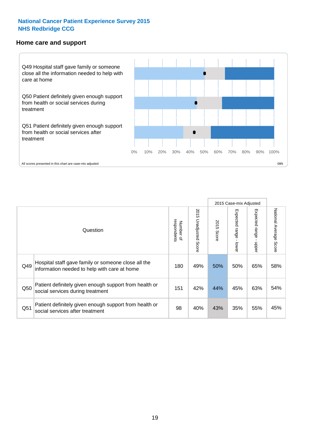#### **Home care and support**



All scores presented in this chart are case-mix adjusted

|                 |                                                                                                     | 2015 Case-mix Adjusted   |                          |               |                         |                         |                        |
|-----------------|-----------------------------------------------------------------------------------------------------|--------------------------|--------------------------|---------------|-------------------------|-------------------------|------------------------|
|                 | Question                                                                                            | respondents<br>Number of | 2015<br>Unadjusted Score | 2015<br>Score | Expected range<br>lower | Expected range<br>nbber | National Average Score |
| Q49             | Hospital staff gave family or someone close all the<br>information needed to help with care at home | 180                      | 49%                      | 50%           | 50%                     | 65%                     | 58%                    |
| Q50             | Patient definitely given enough support from health or<br>social services during treatment          | 151                      | 42%                      | 44%           | 45%                     | 63%                     | 54%                    |
| Q <sub>51</sub> | Patient definitely given enough support from health or<br>social services after treatment           | 98                       | 40%                      | 43%           | 35%                     | 55%                     | 45%                    |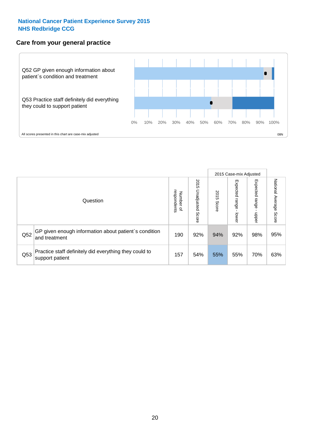## **Care from your general practice**



|     |                                                                           |                                       |                             |               |                                    | 2015 Case-mix Adjusted     |                           |
|-----|---------------------------------------------------------------------------|---------------------------------------|-----------------------------|---------------|------------------------------------|----------------------------|---------------------------|
|     | Question                                                                  | respondents<br>Number<br>$\mathbf{Q}$ | 2015<br>Unadjusted<br>Score | 2015<br>Score | Expected<br><b>Irange</b><br>lower | Expected<br>range<br>doper | National Average<br>Score |
| Q52 | GP given enough information about patient's condition<br>and treatment    | 190                                   | 92%                         | 94%           | 92%                                | 98%                        | 95%                       |
| Q53 | Practice staff definitely did everything they could to<br>support patient | 157                                   | 54%                         | 55%           | 55%                                | 70%                        | 63%                       |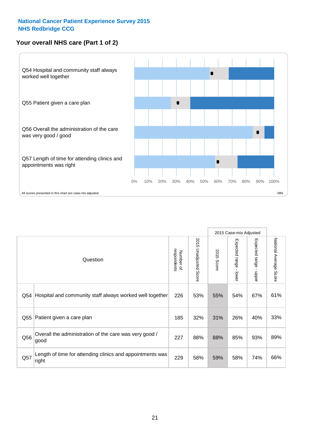## **Your overall NHS care (Part 1 of 2)**



|     |                                                                    |                          |                          |                      | 2015 Case-mix Adjusted                    |                                           |                        |
|-----|--------------------------------------------------------------------|--------------------------|--------------------------|----------------------|-------------------------------------------|-------------------------------------------|------------------------|
|     | Question                                                           | respondents<br>Number of | 2015<br>Unadjusted Score | 2015<br><b>Score</b> | Expected range<br>$\blacksquare$<br>lower | Expected range<br>$\blacksquare$<br>nbber | National Average Score |
| Q54 | Hospital and community staff always worked well together           | 226                      | 53%                      | 55%                  | 54%                                       | 67%                                       | 61%                    |
| Q55 | Patient given a care plan                                          | 185                      | 32%                      | 31%                  | 26%                                       | 40%                                       | 33%                    |
| Q56 | Overall the administration of the care was very good /<br>good     | 227                      | 88%                      | 88%                  | 85%                                       | 93%                                       | 89%                    |
| Q57 | Length of time for attending clinics and appointments was<br>right | 229                      | 58%                      | 59%                  | 58%                                       | 74%                                       | 66%                    |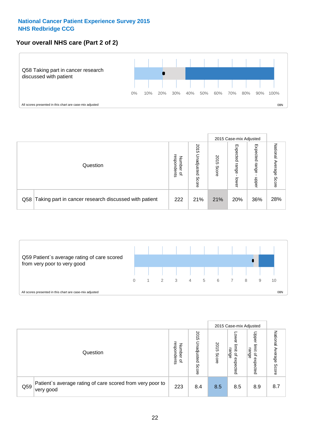## **Your overall NHS care (Part 2 of 2)**



|     |                                                       |                                   |                             |               |                            | 2015 Case-mix Adjusted     |                        |
|-----|-------------------------------------------------------|-----------------------------------|-----------------------------|---------------|----------------------------|----------------------------|------------------------|
|     | Question                                              | respondents<br>Number<br>$\Omega$ | 2015<br>Inadjusted<br>Score | 2015<br>Score | Expected<br>range<br>lower | Expected<br>range<br>nbber | National Average Score |
| Q58 | Taking part in cancer research discussed with patient | 222                               | 21%                         | 21%           | 20%                        | 36%                        | 28%                    |



|     |                                                                        |                                              |                             |               |                                         | 2015 Case-mix Adjusted                                          |                              |
|-----|------------------------------------------------------------------------|----------------------------------------------|-----------------------------|---------------|-----------------------------------------|-----------------------------------------------------------------|------------------------------|
|     | Question                                                               | respondents<br>Number<br>$\overline{\sigma}$ | 2015<br>Jnadjusted<br>Score | 2015<br>Score | OWer<br>limit<br>range<br>٩<br>expected | Upper<br>limit<br>range<br>$\overline{\mathcal{C}}$<br>expected | National<br>Average<br>Score |
| Q59 | Patient's average rating of care scored from very poor to<br>very good | 223                                          | 8.4                         | 8.5           | 8.5                                     | 8.9                                                             | 8.7                          |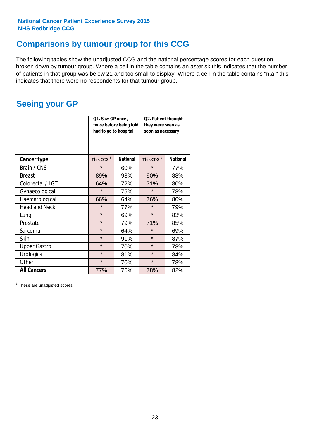## **Comparisons by tumour group for this CCG**

The following tables show the unadjusted CCG and the national percentage scores for each question broken down by tumour group. Where a cell in the table contains an asterisk this indicates that the number of patients in that group was below 21 and too small to display. Where a cell in the table contains "n.a." this indicates that there were no respondents for that tumour group.

## **Seeing your GP**

|                      | Q1. Saw GP once /<br>had to go to hospital | twice before being told | Q2. Patient thought<br>they were seen as<br>soon as necessary |                 |  |
|----------------------|--------------------------------------------|-------------------------|---------------------------------------------------------------|-----------------|--|
| <b>Cancer type</b>   | This CCG <sup>\$</sup>                     | <b>National</b>         | This CCG <sup>\$</sup>                                        | <b>National</b> |  |
| Brain / CNS          | $\star$                                    | 60%                     | $\star$                                                       | 77%             |  |
| <b>Breast</b>        | 89%                                        | 93%                     | 90%                                                           | 88%             |  |
| Colorectal / LGT     | 64%                                        | 72%                     | 71%                                                           | 80%             |  |
| Gynaecological       | $\star$                                    | 75%                     | $\star$                                                       | 78%             |  |
| Haematological       | 66%                                        | 64%                     | 76%                                                           | 80%             |  |
| <b>Head and Neck</b> | $\star$                                    | 77%                     | $\star$                                                       | 79%             |  |
| Lung                 | $\star$                                    | 69%                     | $\star$                                                       | 83%             |  |
| Prostate             | $\star$                                    | 79%                     | 71%                                                           | 85%             |  |
| Sarcoma              | $\star$                                    | 64%                     | $\star$                                                       | 69%             |  |
| Skin                 | $\star$                                    | 91%                     | $\star$                                                       | 87%             |  |
| <b>Upper Gastro</b>  | $\star$                                    | 70%                     | $\star$                                                       | 78%             |  |
| Urological           | $\star$                                    | 81%                     | $\star$                                                       | 84%             |  |
| Other                | $\star$                                    | 70%                     | $\star$                                                       | 78%             |  |
| <b>All Cancers</b>   | 77%                                        | 76%                     | 78%                                                           | 82%             |  |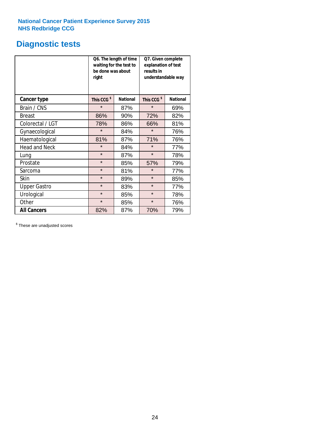## **Diagnostic tests**

|                      | be done was about<br>right | Q6. The length of time<br>waiting for the test to | Q7. Given complete<br>explanation of test<br>results in<br>understandable way |                 |  |
|----------------------|----------------------------|---------------------------------------------------|-------------------------------------------------------------------------------|-----------------|--|
| <b>Cancer type</b>   | This CCG <sup>\$</sup>     | <b>National</b>                                   | This CCG <sup>\$</sup>                                                        | <b>National</b> |  |
| Brain / CNS          | $\star$                    | 87%                                               | $\star$                                                                       | 69%             |  |
| <b>Breast</b>        | 86%                        | 90%                                               | 72%                                                                           | 82%             |  |
| Colorectal / LGT     | 78%                        | 86%                                               | 66%                                                                           | 81%             |  |
| Gynaecological       | $\star$                    | 84%                                               | $\star$                                                                       | 76%             |  |
| Haematological       | 81%                        | 87%                                               | 71%                                                                           | 76%             |  |
| <b>Head and Neck</b> | $\star$                    | 84%                                               | $\star$                                                                       | 77%             |  |
| Lung                 | $\star$                    | 87%                                               | $\star$                                                                       | 78%             |  |
| Prostate             | $\star$                    | 85%                                               | 57%                                                                           | 79%             |  |
| Sarcoma              | $\star$                    | 81%                                               | $\star$                                                                       | 77%             |  |
| Skin                 | $\star$                    | 89%                                               | $\star$                                                                       | 85%             |  |
| <b>Upper Gastro</b>  | $\star$                    | 83%                                               | $\star$                                                                       | 77%             |  |
| Urological           | $\star$                    | 85%                                               | $\star$                                                                       | 78%             |  |
| Other                | $\star$                    | 85%                                               | $\star$                                                                       | 76%             |  |
| <b>All Cancers</b>   | 82%                        | 87%                                               | 70%                                                                           | 79%             |  |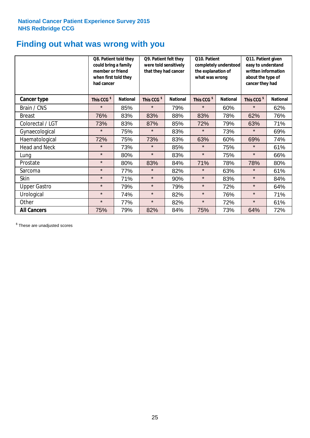## **Finding out what was wrong with you**

|                      | Q8. Patient told they<br>could bring a family<br>member or friend<br>when first told they<br>had cancer |                 | Q9. Patient felt they<br>were told sensitively<br>that they had cancer |                 | Q10. Patient<br>completely understood<br>the explanation of<br>what was wrong |                 | Q11. Patient given<br>easy to understand<br>written information<br>about the type of<br>cancer they had |                 |
|----------------------|---------------------------------------------------------------------------------------------------------|-----------------|------------------------------------------------------------------------|-----------------|-------------------------------------------------------------------------------|-----------------|---------------------------------------------------------------------------------------------------------|-----------------|
| Cancer type          | This CCG <sup>\$</sup>                                                                                  | <b>National</b> | This CCG <sup>\$</sup>                                                 | <b>National</b> | This CCG <sup>\$</sup>                                                        | <b>National</b> | This CCG <sup>\$</sup>                                                                                  | <b>National</b> |
| Brain / CNS          | $\star$                                                                                                 | 85%             | $\star$                                                                | 79%             | $\star$                                                                       | 60%             | $\star$                                                                                                 | 62%             |
| <b>Breast</b>        | 76%                                                                                                     | 83%             | 83%                                                                    | 88%             | 83%                                                                           | 78%             | 62%                                                                                                     | 76%             |
| Colorectal / LGT     | 73%                                                                                                     | 83%             | 87%                                                                    | 85%             | 72%                                                                           | 79%             | 63%                                                                                                     | 71%             |
| Gynaecological       | $\star$                                                                                                 | 75%             | $\star$                                                                | 83%             | $\star$                                                                       | 73%             | $\star$                                                                                                 | 69%             |
| Haematological       | 72%                                                                                                     | 75%             | 73%                                                                    | 83%             | 63%                                                                           | 60%             | 69%                                                                                                     | 74%             |
| <b>Head and Neck</b> | $\star$                                                                                                 | 73%             | $\star$                                                                | 85%             | $\star$                                                                       | 75%             | $\star$                                                                                                 | 61%             |
| Lung                 | $\star$                                                                                                 | 80%             | $\star$                                                                | 83%             | $\star$                                                                       | 75%             | $\star$                                                                                                 | 66%             |
| Prostate             | $\star$                                                                                                 | 80%             | 83%                                                                    | 84%             | 71%                                                                           | 78%             | 78%                                                                                                     | 80%             |
| Sarcoma              | $\star$                                                                                                 | 77%             | $\star$                                                                | 82%             | $\star$                                                                       | 63%             | $\star$                                                                                                 | 61%             |
| Skin                 | $\star$                                                                                                 | 71%             | $\star$                                                                | 90%             | $\star$                                                                       | 83%             | $\star$                                                                                                 | 84%             |
| <b>Upper Gastro</b>  | $\star$                                                                                                 | 79%             | $\star$                                                                | 79%             | $\star$                                                                       | 72%             | $\star$                                                                                                 | 64%             |
| Urological           | $\star$                                                                                                 | 74%             | $\star$                                                                | 82%             | $\star$                                                                       | 76%             | $\star$                                                                                                 | 71%             |
| Other                | $\star$                                                                                                 | 77%             | $\star$                                                                | 82%             | $\star$                                                                       | 72%             | $\star$                                                                                                 | 61%             |
| <b>All Cancers</b>   | 75%                                                                                                     | 79%             | 82%                                                                    | 84%             | 75%                                                                           | 73%             | 64%                                                                                                     | 72%             |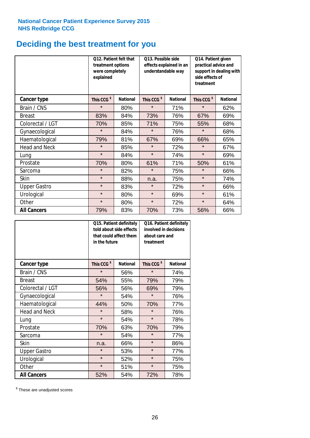## **Deciding the best treatment for you**

|                      | 012. Patient felt that<br>treatment options<br>were completely<br>explained |                 | O13. Possible side<br>understandable way | effects explained in an | Q14. Patient given<br>practical advice and<br>support in dealing with<br>side effects of<br>treatment |                 |  |
|----------------------|-----------------------------------------------------------------------------|-----------------|------------------------------------------|-------------------------|-------------------------------------------------------------------------------------------------------|-----------------|--|
| <b>Cancer type</b>   | This CCG <sup>\$</sup>                                                      | <b>National</b> | This CCG <sup>\$</sup>                   | <b>National</b>         | This CCG <sup>\$</sup>                                                                                | <b>National</b> |  |
| Brain / CNS          | $\star$                                                                     | 80%             | $\star$                                  | 71%                     | $\star$                                                                                               | 62%             |  |
| <b>Breast</b>        | 83%                                                                         | 84%             | 73%                                      | 76%                     | 67%                                                                                                   | 69%             |  |
| Colorectal / LGT     | 70%                                                                         | 85%             | 71%                                      | 75%                     | 55%                                                                                                   | 68%             |  |
| Gynaecological       | $\star$                                                                     | 84%             | $\star$                                  | 76%                     | $\star$                                                                                               | 68%             |  |
| Haematological       | 79%                                                                         | 81%             | 67%                                      | 69%                     | 66%                                                                                                   | 65%             |  |
| <b>Head and Neck</b> | $\star$                                                                     | 85%             | $\star$                                  | 72%                     | $\star$                                                                                               | 67%             |  |
| Lung                 | $\star$                                                                     | 84%             | $\star$                                  | 74%                     | $\star$                                                                                               | 69%             |  |
| Prostate             | 70%                                                                         | 80%             | 61%                                      | 71%                     | 50%                                                                                                   | 61%             |  |
| Sarcoma              | $\star$                                                                     | 82%             | $\star$                                  | 75%                     | $\star$                                                                                               | 66%             |  |
| Skin                 | $\star$                                                                     | 88%             | n.a.                                     | 75%                     | $\star$                                                                                               | 74%             |  |
| <b>Upper Gastro</b>  | $\star$                                                                     | 83%             | $\star$                                  | 72%                     | $\star$                                                                                               | 66%             |  |
| Urological           | $\star$                                                                     | 80%             | $\star$                                  | 69%                     | $\star$                                                                                               | 61%             |  |
| Other                | $\star$                                                                     | 80%             | $\star$                                  | 72%                     | $\star$                                                                                               | 64%             |  |
| <b>All Cancers</b>   | 79%                                                                         | 83%             | 70%                                      | 73%                     | 56%                                                                                                   | 66%             |  |

|                      | in the future          | Q15. Patient definitely<br>told about side effects<br>that could affect them | Q16. Patient definitely<br>involved in decisions<br>about care and<br>treatment |                 |  |
|----------------------|------------------------|------------------------------------------------------------------------------|---------------------------------------------------------------------------------|-----------------|--|
| <b>Cancer type</b>   | This CCG <sup>\$</sup> | <b>National</b>                                                              | This CCG <sup>\$</sup>                                                          | <b>National</b> |  |
| Brain / CNS          | $\star$                | 56%                                                                          | $\star$                                                                         | 74%             |  |
| <b>Breast</b>        | 54%                    | 55%                                                                          | 79%                                                                             | 79%             |  |
| Colorectal / LGT     | 56%                    | 56%                                                                          | 69%                                                                             | 79%             |  |
| Gynaecological       | $\star$                | 54%                                                                          | $\star$                                                                         | 76%             |  |
| Haematological       | 44%                    | 50%                                                                          | 70%                                                                             | 77%             |  |
| <b>Head and Neck</b> | $\star$                | 58%                                                                          | $\star$                                                                         | 76%             |  |
| Lung                 | $\star$                | 54%                                                                          | $\star$                                                                         | 78%             |  |
| Prostate             | 70%                    | 63%                                                                          | 70%                                                                             | 79%             |  |
| Sarcoma              | $\star$                | 54%                                                                          | $\star$                                                                         | 77%             |  |
| Skin                 | n.a.                   | 66%                                                                          | $\star$                                                                         | 86%             |  |
| <b>Upper Gastro</b>  | $\star$                | 53%                                                                          | $\star$                                                                         | 77%             |  |
| Urological           | $\star$                | 52%                                                                          | $\star$                                                                         | 75%             |  |
| Other                | $\star$                | 51%                                                                          | $\star$                                                                         | 75%             |  |
| <b>All Cancers</b>   | 52%                    | 54%                                                                          | 72%                                                                             | 78%             |  |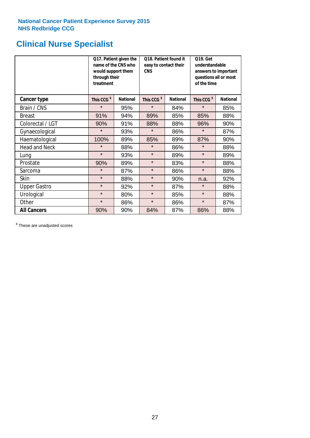## **Clinical Nurse Specialist**

|                      | would support them<br>through their<br>treatment | Q17. Patient given the<br>name of the CNS who | Q18. Patient found it<br>easy to contact their<br><b>CNS</b> |                 | <b>Q19. Get</b><br>understandable<br>answers to important<br>questions all or most<br>of the time |                 |  |
|----------------------|--------------------------------------------------|-----------------------------------------------|--------------------------------------------------------------|-----------------|---------------------------------------------------------------------------------------------------|-----------------|--|
| <b>Cancer type</b>   | This CCG <sup>\$</sup>                           | <b>National</b>                               | This CCG <sup>\$</sup>                                       | <b>National</b> | This CCG <sup>\$</sup>                                                                            | <b>National</b> |  |
| Brain / CNS          | $\star$                                          | 95%                                           | $\star$                                                      | 84%             | $\star$                                                                                           | 85%             |  |
| <b>Breast</b>        | 91%                                              | 94%                                           | 89%                                                          | 85%             | 85%                                                                                               | 88%             |  |
| Colorectal / LGT     | 90%                                              | 91%                                           | 88%                                                          | 88%             | 96%                                                                                               | 90%             |  |
| Gynaecological       | $\star$                                          | 93%                                           | $\star$                                                      | 86%             | $\star$                                                                                           | 87%             |  |
| Haematological       | 100%                                             | 89%                                           | 85%                                                          | 89%             | 87%                                                                                               | 90%             |  |
| <b>Head and Neck</b> | $\star$                                          | 88%                                           | $\star$                                                      | 86%             | $\star$                                                                                           | 88%             |  |
| Lung                 | $\star$                                          | 93%                                           | $\star$                                                      | 89%             | $\star$                                                                                           | 89%             |  |
| Prostate             | 90%                                              | 89%                                           | $\star$                                                      | 83%             | $\star$                                                                                           | 88%             |  |
| Sarcoma              | $\star$                                          | 87%                                           | $\star$                                                      | 86%             | $\star$                                                                                           | 88%             |  |
| Skin                 | $\star$                                          | 88%                                           | $\star$                                                      | 90%             | n.a.                                                                                              | 92%             |  |
| <b>Upper Gastro</b>  | $\star$                                          | 92%                                           | $\star$                                                      | 87%             | $\star$                                                                                           | 88%             |  |
| Urological           | $\star$                                          | 80%                                           | $\star$                                                      | 85%             | $\star$                                                                                           | 88%             |  |
| Other                | $\star$                                          | 86%                                           | $\star$                                                      | 86%             | $\star$                                                                                           | 87%             |  |
| <b>All Cancers</b>   | 90%                                              | 90%                                           | 84%                                                          | 87%             | 86%                                                                                               | 88%             |  |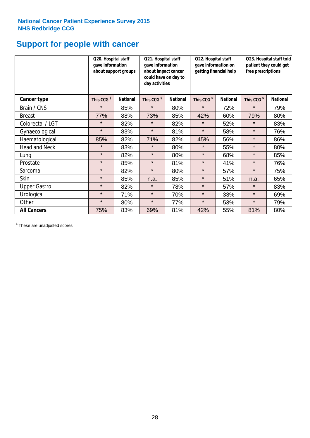## **Support for people with cancer**

|                      | Q20. Hospital staff<br>gave information | about support groups | Q21. Hospital staff<br>gave information<br>about impact cancer<br>could have on day to<br>day activities |                 | Q22. Hospital staff<br>gave information on<br>getting financial help |                 | Q23. Hospital staff told<br>patient they could get<br>free prescriptions |                 |
|----------------------|-----------------------------------------|----------------------|----------------------------------------------------------------------------------------------------------|-----------------|----------------------------------------------------------------------|-----------------|--------------------------------------------------------------------------|-----------------|
| Cancer type          | This CCG <sup>\$</sup>                  | <b>National</b>      | This CCG <sup>\$</sup>                                                                                   | <b>National</b> | This CCG <sup>\$</sup>                                               | <b>National</b> | This CCG <sup>\$</sup>                                                   | <b>National</b> |
| Brain / CNS          | $\star$                                 | 85%                  | $\star$                                                                                                  | 80%             | $\star$                                                              | 72%             | $\star$                                                                  | 79%             |
| <b>Breast</b>        | 77%                                     | 88%                  | 73%                                                                                                      | 85%             | 42%                                                                  | 60%             | 79%                                                                      | 80%             |
| Colorectal / LGT     | $\star$                                 | 82%                  | $\star$                                                                                                  | 82%             | $\star$                                                              | 52%             | $\star$                                                                  | 83%             |
| Gynaecological       | $\star$                                 | 83%                  | $\star$                                                                                                  | 81%             | $\star$                                                              | 58%             | $\star$                                                                  | 76%             |
| Haematological       | 85%                                     | 82%                  | 71%                                                                                                      | 82%             | 45%                                                                  | 56%             | $\star$                                                                  | 86%             |
| <b>Head and Neck</b> | $\star$                                 | 83%                  | $\star$                                                                                                  | 80%             | $\star$                                                              | 55%             | $\star$                                                                  | 80%             |
| Lung                 | $\star$                                 | 82%                  | $\star$                                                                                                  | 80%             | $\star$                                                              | 68%             | $\star$                                                                  | 85%             |
| Prostate             | $\star$                                 | 85%                  | $\star$                                                                                                  | 81%             | $\star$                                                              | 41%             | $\star$                                                                  | 76%             |
| Sarcoma              | $\star$                                 | 82%                  | $\star$                                                                                                  | 80%             | $\star$                                                              | 57%             | $\star$                                                                  | 75%             |
| Skin                 | $\star$                                 | 85%                  | n.a.                                                                                                     | 85%             | $\star$                                                              | 51%             | n.a.                                                                     | 65%             |
| <b>Upper Gastro</b>  | $\star$                                 | 82%                  | $\star$                                                                                                  | 78%             | $\star$                                                              | 57%             | $\star$                                                                  | 83%             |
| Urological           | $\star$                                 | 71%                  | $\star$                                                                                                  | 70%             | $\star$                                                              | 33%             | $\star$                                                                  | 69%             |
| Other                | $\star$                                 | 80%                  | $\star$                                                                                                  | 77%             | $\star$                                                              | 53%             | $\star$                                                                  | 79%             |
| <b>All Cancers</b>   | 75%                                     | 83%                  | 69%                                                                                                      | 81%             | 42%                                                                  | 55%             | 81%                                                                      | 80%             |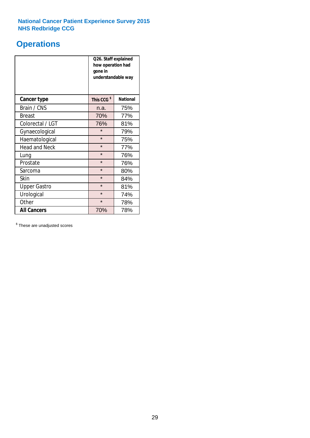## **Operations**

|                      | Q26. Staff explained<br>how operation had<br>gone in<br>understandable way |                 |  |  |
|----------------------|----------------------------------------------------------------------------|-----------------|--|--|
| <b>Cancer type</b>   | This CCG <sup>\$</sup>                                                     | <b>National</b> |  |  |
| Brain / CNS          | n.a.                                                                       | 75%             |  |  |
| <b>Breast</b>        | 70%                                                                        | 77%             |  |  |
| Colorectal / LGT     | 76%                                                                        | 81%             |  |  |
| Gynaecological       | $\star$                                                                    | 79%             |  |  |
| Haematological       | $\star$                                                                    | 75%             |  |  |
| <b>Head and Neck</b> | $\star$                                                                    | 77%             |  |  |
| Lung                 | $\star$                                                                    | 76%             |  |  |
| Prostate             | $\star$                                                                    | 76%             |  |  |
| Sarcoma              | $\star$                                                                    | 80%             |  |  |
| Skin                 | $\star$                                                                    | 84%             |  |  |
| <b>Upper Gastro</b>  | $\star$                                                                    | 81%             |  |  |
| Urological           | $\star$                                                                    | 74%             |  |  |
| Other                | $\star$<br>78%                                                             |                 |  |  |
| <b>All Cancers</b>   | 70%                                                                        | 78%             |  |  |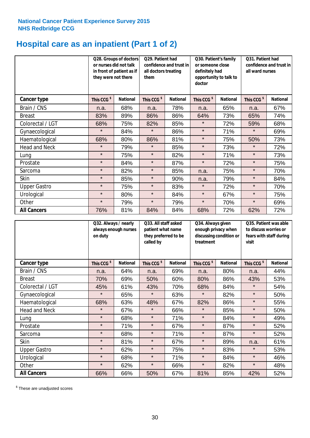## **Hospital care as an inpatient (Part 1 of 2)**

|                      | or nurses did not talk<br>they were not there | Q28. Groups of doctors<br>in front of patient as if | Q29. Patient had<br>confidence and trust in<br>all doctors treating<br>them |                 | Q30. Patient's family<br>or someone close<br>definitely had<br>opportunity to talk to<br>doctor |                 | Q31. Patient had<br>confidence and trust in I<br>all ward nurses |                 |
|----------------------|-----------------------------------------------|-----------------------------------------------------|-----------------------------------------------------------------------------|-----------------|-------------------------------------------------------------------------------------------------|-----------------|------------------------------------------------------------------|-----------------|
| Cancer type          | This CCG <sup>\$</sup>                        | <b>National</b>                                     | This CCG <sup>\$</sup>                                                      | <b>National</b> | This CCG <sup>\$</sup>                                                                          | <b>National</b> | This CCG <sup>\$</sup>                                           | <b>National</b> |
| Brain / CNS          | n.a.                                          | 68%                                                 | n.a.                                                                        | 78%             | n.a.                                                                                            | 65%             | n.a.                                                             | 67%             |
| <b>Breast</b>        | 83%                                           | 89%                                                 | 86%                                                                         | 86%             | 64%                                                                                             | 73%             | 65%                                                              | 74%             |
| Colorectal / LGT     | 68%                                           | 75%                                                 | 82%                                                                         | 85%             | $\star$                                                                                         | 72%             | 59%                                                              | 68%             |
| Gynaecological       | $\star$                                       | 84%                                                 | $\star$                                                                     | 86%             | $\star$                                                                                         | 71%             | $\star$                                                          | 69%             |
| Haematological       | 68%                                           | 80%                                                 | 86%                                                                         | 81%             | $\star$                                                                                         | 75%             | 50%                                                              | 73%             |
| <b>Head and Neck</b> | $\star$                                       | 79%                                                 | $\star$                                                                     | 85%             | $\star$                                                                                         | 73%             | $\star$                                                          | 72%             |
| Lung                 | $\star$                                       | 75%                                                 | $\star$                                                                     | 82%             | $\star$                                                                                         | 71%             | $\star$                                                          | 73%             |
| Prostate             | $\star$                                       | 84%                                                 | $\star$                                                                     | 87%             | $\star$                                                                                         | 72%             | $\star$                                                          | 75%             |
| Sarcoma              | $\star$                                       | 82%                                                 | $\star$                                                                     | 85%             | n.a.                                                                                            | 75%             | $\star$                                                          | 70%             |
| Skin                 | $\star$                                       | 85%                                                 | $\star$                                                                     | 90%             | n.a.                                                                                            | 79%             | $\star$                                                          | 84%             |
| <b>Upper Gastro</b>  | $\star$                                       | 75%                                                 | $\star$                                                                     | 83%             | $\star$                                                                                         | 72%             | $\star$                                                          | 70%             |
| Urological           | $\star$                                       | 80%                                                 | $\star$                                                                     | 84%             | $\star$                                                                                         | 67%             | $\star$                                                          | 75%             |
| Other                | $\star$                                       | 79%                                                 | $\star$                                                                     | 79%             | $\star$                                                                                         | 70%             | $\star$                                                          | 69%             |
| <b>All Cancers</b>   | 76%                                           | 81%                                                 | 84%                                                                         | 84%             | 68%                                                                                             | 72%             | 62%                                                              | 72%             |

|                      | Q32. Always / nearly<br>on duty | always enough nurses | Q33. All staff asked<br>patient what name<br>they preferred to be<br>called by |                 | Q34. Always given<br>treatment | enough privacy when<br>discussing condition or | Q35. Patient was able<br>to discuss worries or<br>fears with staff during<br>visit |                 |
|----------------------|---------------------------------|----------------------|--------------------------------------------------------------------------------|-----------------|--------------------------------|------------------------------------------------|------------------------------------------------------------------------------------|-----------------|
| <b>Cancer type</b>   | This CCG <sup>\$</sup>          | <b>National</b>      | This CCG <sup>\$</sup>                                                         | <b>National</b> | This CCG <sup>\$</sup>         | <b>National</b>                                | This CCG <sup>\$</sup>                                                             | <b>National</b> |
| Brain / CNS          | n.a.                            | 64%                  | n.a.                                                                           | 69%             | n.a.                           | 80%                                            | n.a.                                                                               | 44%             |
| <b>Breast</b>        | 70%                             | 69%                  | 50%                                                                            | 60%             | 80%                            | 86%                                            | 43%                                                                                | 53%             |
| Colorectal / LGT     | 45%                             | 61%                  | 43%                                                                            | 70%             | 68%                            | 84%                                            | $\star$                                                                            | 54%             |
| Gynaecological       | $\star$                         | 65%                  | $\star$                                                                        | 63%             | $\star$                        | 82%                                            | $\star$                                                                            | 50%             |
| Haematological       | 68%                             | 63%                  | 48%                                                                            | 67%             | 82%                            | 86%                                            | $\star$                                                                            | 55%             |
| <b>Head and Neck</b> | $\star$                         | 67%                  | $\star$                                                                        | 66%             | $\star$                        | 85%                                            | $\star$                                                                            | 50%             |
| Lung                 | $\star$                         | 68%                  | $\star$                                                                        | 71%             | $\star$                        | 84%                                            | $\star$                                                                            | 49%             |
| Prostate             | $\star$                         | 71%                  | $\star$                                                                        | 67%             | $\star$                        | 87%                                            | $\star$                                                                            | 52%             |
| Sarcoma              | $\star$                         | 68%                  | $\star$                                                                        | 71%             | $\star$                        | 87%                                            | $\star$                                                                            | 52%             |
| Skin                 | $\star$                         | 81%                  | $\star$                                                                        | 67%             | $\star$                        | 89%                                            | n.a.                                                                               | 61%             |
| <b>Upper Gastro</b>  | $\star$                         | 62%                  | $\star$                                                                        | 75%             | $\star$                        | 83%                                            | $\star$                                                                            | 53%             |
| Urological           | $\star$                         | 68%                  | $\star$                                                                        | 71%             | $\star$                        | 84%                                            | $\star$                                                                            | 46%             |
| Other                | $\star$                         | 62%                  | $\star$                                                                        | 66%             | $\star$                        | 82%                                            | $\star$                                                                            | 48%             |
| <b>All Cancers</b>   | 66%                             | 66%                  | 50%                                                                            | 67%             | 81%                            | 85%                                            | 42%                                                                                | 52%             |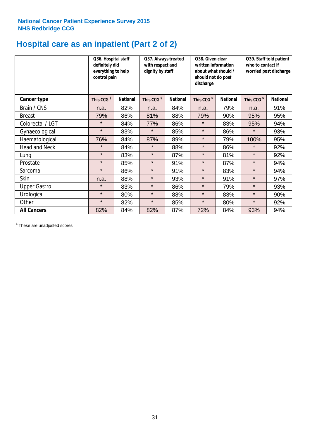## **Hospital care as an inpatient (Part 2 of 2)**

|                      | Q36. Hospital staff<br>definitely did<br>everything to help<br>control pain |                 | Q37. Always treated<br>with respect and<br>dignity by staff |                 | Q38. Given clear<br>written information<br>about what should /<br>should not do post<br>discharge |                 | Q39. Staff told patient<br>who to contact if<br>worried post discharge |                 |
|----------------------|-----------------------------------------------------------------------------|-----------------|-------------------------------------------------------------|-----------------|---------------------------------------------------------------------------------------------------|-----------------|------------------------------------------------------------------------|-----------------|
| Cancer type          | This CCG <sup>\$</sup>                                                      | <b>National</b> | This CCG <sup>\$</sup>                                      | <b>National</b> | This CCG <sup>\$</sup>                                                                            | <b>National</b> | This CCG <sup>\$</sup>                                                 | <b>National</b> |
| Brain / CNS          | n.a.                                                                        | 82%             | n.a.                                                        | 84%             | n.a.                                                                                              | 79%             | n.a.                                                                   | 91%             |
| <b>Breast</b>        | 79%                                                                         | 86%             | 81%                                                         | 88%             | 79%                                                                                               | 90%             | 95%                                                                    | 95%             |
| Colorectal / LGT     | $\star$                                                                     | 84%             | 77%                                                         | 86%             | $\star$                                                                                           | 83%             | 95%                                                                    | 94%             |
| Gynaecological       | $\star$                                                                     | 83%             | $\star$                                                     | 85%             | $\star$                                                                                           | 86%             | $\star$                                                                | 93%             |
| Haematological       | 76%                                                                         | 84%             | 87%                                                         | 89%             | $\star$                                                                                           | 79%             | 100%                                                                   | 95%             |
| <b>Head and Neck</b> | $\star$                                                                     | 84%             | $\star$                                                     | 88%             | $\star$                                                                                           | 86%             | $\star$                                                                | 92%             |
| Lung                 | $\star$                                                                     | 83%             | $\star$                                                     | 87%             | $\star$                                                                                           | 81%             | $\star$                                                                | 92%             |
| Prostate             | $\star$                                                                     | 85%             | $\star$                                                     | 91%             | $\star$                                                                                           | 87%             | $\star$                                                                | 94%             |
| Sarcoma              | $\star$                                                                     | 86%             | $\star$                                                     | 91%             | $\star$                                                                                           | 83%             | $\star$                                                                | 94%             |
| Skin                 | n.a.                                                                        | 88%             | $\star$                                                     | 93%             | $\star$                                                                                           | 91%             | $\star$                                                                | 97%             |
| <b>Upper Gastro</b>  | $\star$                                                                     | 83%             | $\star$                                                     | 86%             | $\star$                                                                                           | 79%             | $\star$                                                                | 93%             |
| Urological           | $\star$                                                                     | 80%             | $\star$                                                     | 88%             | $\star$                                                                                           | 83%             | $\star$                                                                | 90%             |
| Other                | $\star$                                                                     | 82%             | $\star$                                                     | 85%             | $\star$                                                                                           | 80%             | $\star$                                                                | 92%             |
| <b>All Cancers</b>   | 82%                                                                         | 84%             | 82%                                                         | 87%             | 72%                                                                                               | 84%             | 93%                                                                    | 94%             |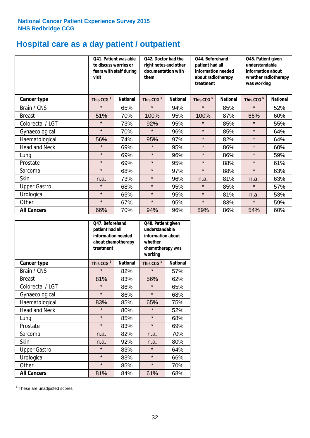## **Hospital care as a day patient / outpatient**

|                      | to discuss worries or<br>visit | Q41. Patient was able<br>fears with staff during | Q42. Doctor had the<br>right notes and other<br>documentation with<br>them |                 | Q44. Beforehand<br>patient had all<br>information needed<br>about radiotherapy<br>treatment |                 | Q45. Patient given<br>understandable<br>information about<br>whether radiotherapy<br>was working |                 |
|----------------------|--------------------------------|--------------------------------------------------|----------------------------------------------------------------------------|-----------------|---------------------------------------------------------------------------------------------|-----------------|--------------------------------------------------------------------------------------------------|-----------------|
| <b>Cancer type</b>   | This CCG <sup>\$</sup>         | <b>National</b>                                  | This CCG <sup>\$</sup>                                                     | <b>National</b> | This CCG <sup>\$</sup>                                                                      | <b>National</b> | This CCG <sup>\$</sup>                                                                           | <b>National</b> |
| Brain / CNS          | $\star$                        | 65%                                              | $\star$                                                                    | 94%             | $\star$                                                                                     | 85%             | $\star$                                                                                          | 52%             |
| <b>Breast</b>        | 51%                            | 70%                                              | 100%                                                                       | 95%             | 100%                                                                                        | 87%             | 66%                                                                                              | 60%             |
| Colorectal / LGT     | $\star$                        | 73%                                              | 92%                                                                        | 95%             | $\star$                                                                                     | 85%             | $\star$                                                                                          | 55%             |
| Gynaecological       | $\star$                        | 70%                                              | $\star$                                                                    | 96%             | $\star$                                                                                     | 85%             | $\star$                                                                                          | 64%             |
| Haematological       | 56%                            | 74%                                              | 95%                                                                        | 97%             | $\star$                                                                                     | 82%             | $\star$                                                                                          | 64%             |
| <b>Head and Neck</b> | $\star$                        | 69%                                              | $\star$                                                                    | 95%             | $\star$                                                                                     | 86%             | $\star$                                                                                          | 60%             |
| Lung                 | $\star$                        | 69%                                              | $\star$                                                                    | 96%             | $\star$                                                                                     | 86%             | $\star$                                                                                          | 59%             |
| Prostate             | $\star$                        | 69%                                              | $\star$                                                                    | 95%             | $\star$                                                                                     | 88%             | $\star$                                                                                          | 61%             |
| Sarcoma              | $\star$                        | 68%                                              | $\star$                                                                    | 97%             | $\star$                                                                                     | 88%             | $\star$                                                                                          | 63%             |
| Skin                 | n.a.                           | 73%                                              | $\star$                                                                    | 96%             | n.a.                                                                                        | 81%             | n.a.                                                                                             | 63%             |
| <b>Upper Gastro</b>  | $\star$                        | 68%                                              | $\star$                                                                    | 95%             | $\star$                                                                                     | 85%             | $\star$                                                                                          | 57%             |
| Urological           | $\star$                        | 65%                                              | $\star$                                                                    | 95%             | $\star$                                                                                     | 81%             | n.a.                                                                                             | 53%             |
| Other                | $\star$                        | 67%                                              | $\star$                                                                    | 95%             | $\star$                                                                                     | 83%             | $\star$                                                                                          | 59%             |
| <b>All Cancers</b>   | 66%                            | 70%                                              | 94%                                                                        | 96%             | 89%                                                                                         | 86%             | 54%                                                                                              | 60%             |

|                      | Q47. Beforehand<br>patient had all<br>information needed<br>treatment | about chemotherapy | Q48. Patient given<br>understandable<br>information about<br>whether<br>chemotherapy was<br>working |                 |  |
|----------------------|-----------------------------------------------------------------------|--------------------|-----------------------------------------------------------------------------------------------------|-----------------|--|
| <b>Cancer type</b>   | This CCG <sup>\$</sup>                                                | <b>National</b>    | This CCG <sup>\$</sup>                                                                              | <b>National</b> |  |
| Brain / CNS          | $\star$                                                               | 82%                | $\star$                                                                                             | 57%             |  |
| <b>Breast</b>        | 81%                                                                   | 83%                | 56%                                                                                                 | 62%             |  |
| Colorectal / LGT     | $\star$                                                               | 86%                | $\star$                                                                                             | 65%             |  |
| Gynaecological       | $\star$                                                               | 86%                | $\star$                                                                                             | 68%             |  |
| Haematological       | 83%                                                                   | 85%                | 65%                                                                                                 | 75%             |  |
| <b>Head and Neck</b> | $\star$                                                               | 80%                | $\star$                                                                                             | 52%             |  |
| Lung                 | $\star$                                                               | 85%                | $\star$                                                                                             | 68%             |  |
| Prostate             | $\star$                                                               | 83%                | $\star$                                                                                             | 69%             |  |
| Sarcoma              | n.a.                                                                  | 82%                | n.a.                                                                                                | 70%             |  |
| <b>Skin</b>          | n.a.                                                                  | 92%                | n.a.                                                                                                | 80%             |  |
| <b>Upper Gastro</b>  | $\star$                                                               | 83%                | $\star$                                                                                             | 64%             |  |
| Urological           | $\star$                                                               | 83%                | $\star$                                                                                             | 66%             |  |
| Other                | $\star$                                                               | 85%                | $\star$                                                                                             | 70%             |  |
| <b>All Cancers</b>   | 81%                                                                   | 84%                | 61%                                                                                                 | 68%             |  |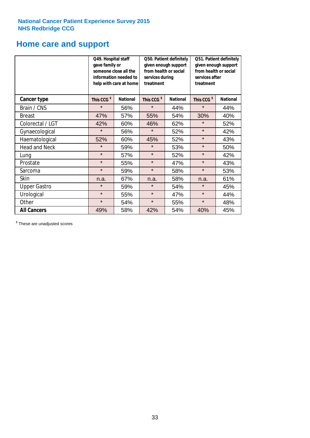## **Home care and support**

|                      | Q49. Hospital staff<br>gave family or | someone close all the<br>information needed to<br>help with care at home | Q50. Patient definitely<br>given enough support<br>from health or social<br>services during<br>treatment |                 | Q51. Patient definitely<br>given enough support<br>from health or social<br>services after<br>treatment |                 |
|----------------------|---------------------------------------|--------------------------------------------------------------------------|----------------------------------------------------------------------------------------------------------|-----------------|---------------------------------------------------------------------------------------------------------|-----------------|
| <b>Cancer type</b>   | This CCG <sup>\$</sup>                | <b>National</b>                                                          | This CCG <sup>\$</sup>                                                                                   | <b>National</b> | This CCG <sup>\$</sup>                                                                                  | <b>National</b> |
| Brain / CNS          | $\star$                               | 56%                                                                      | $\star$                                                                                                  | 44%             | $\star$                                                                                                 | 44%             |
| <b>Breast</b>        | 47%                                   | 57%                                                                      | 55%                                                                                                      | 54%             | 30%                                                                                                     | 40%             |
| Colorectal / LGT     | 42%                                   | 60%                                                                      | 46%                                                                                                      | 62%             | $\star$                                                                                                 | 52%             |
| Gynaecological       | $\star$                               | 56%                                                                      | $\star$                                                                                                  | 52%             | $\star$                                                                                                 | 42%             |
| Haematological       | 52%                                   | 60%                                                                      | 45%                                                                                                      | 52%             | $\star$                                                                                                 | 43%             |
| <b>Head and Neck</b> | $\star$                               | 59%                                                                      | $\star$                                                                                                  | 53%             | $\star$                                                                                                 | 50%             |
| Lung                 | $\star$                               | 57%                                                                      | $\star$                                                                                                  | 52%             | $\star$                                                                                                 | 42%             |
| Prostate             | $\star$                               | 55%                                                                      | $\star$                                                                                                  | 47%             | $\star$                                                                                                 | 43%             |
| Sarcoma              | $\star$                               | 59%                                                                      | $\star$                                                                                                  | 58%             | $\star$                                                                                                 | 53%             |
| Skin                 | n.a.                                  | 67%                                                                      | n.a.                                                                                                     | 58%             | n.a.                                                                                                    | 61%             |
| <b>Upper Gastro</b>  | $\star$                               | 59%                                                                      | $\star$                                                                                                  | 54%             | $\star$                                                                                                 | 45%             |
| Urological           | $\star$                               | 55%                                                                      | $\star$                                                                                                  | 47%             | $\star$                                                                                                 | 44%             |
| Other                | $\star$                               | 54%                                                                      | $\star$                                                                                                  | 55%             | $\star$                                                                                                 | 48%             |
| <b>All Cancers</b>   | 49%                                   | 58%                                                                      | 42%                                                                                                      | 54%             | 40%                                                                                                     | 45%             |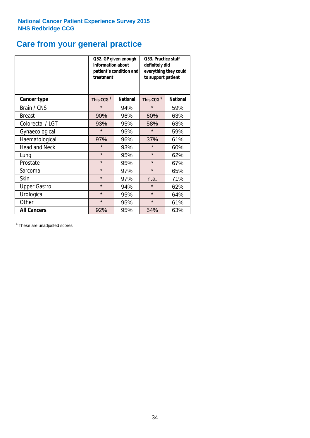## **Care from your general practice**

|                      | information about<br>treatment | Q52. GP given enough<br>patient's condition and | O53. Practice staff<br>definitely did<br>everything they could<br>to support patient |                 |  |
|----------------------|--------------------------------|-------------------------------------------------|--------------------------------------------------------------------------------------|-----------------|--|
| <b>Cancer type</b>   | This CCG <sup>\$</sup>         | <b>National</b>                                 | This CCG <sup>\$</sup>                                                               | <b>National</b> |  |
| Brain / CNS          | $\star$                        | 94%                                             | $\star$                                                                              | 59%             |  |
| <b>Breast</b>        | 90%                            | 96%                                             | 60%                                                                                  | 63%             |  |
| Colorectal / LGT     | 93%                            | 95%                                             | 58%                                                                                  | 63%             |  |
| Gynaecological       | $\star$                        | 95%                                             | $\star$                                                                              | 59%             |  |
| Haematological       | 97%                            | 96%                                             | 37%                                                                                  | 61%             |  |
| <b>Head and Neck</b> | $\star$                        | 93%                                             | $\star$                                                                              | 60%             |  |
| Lung                 | $\star$                        | 95%                                             | $\star$                                                                              | 62%             |  |
| Prostate             | $\star$                        | 95%                                             | $\star$                                                                              | 67%             |  |
| Sarcoma              | $\star$                        | 97%                                             | $\star$                                                                              | 65%             |  |
| Skin                 | $\star$                        | 97%                                             | n.a.                                                                                 | 71%             |  |
| <b>Upper Gastro</b>  | $\star$                        | 94%                                             | $\star$                                                                              | 62%             |  |
| Urological           | $\star$                        | 95%                                             | $\star$                                                                              | 64%             |  |
| Other                | $\star$                        | 95%                                             | $\star$                                                                              | 61%             |  |
| <b>All Cancers</b>   | 92%                            | 95%                                             | 54%                                                                                  | 63%             |  |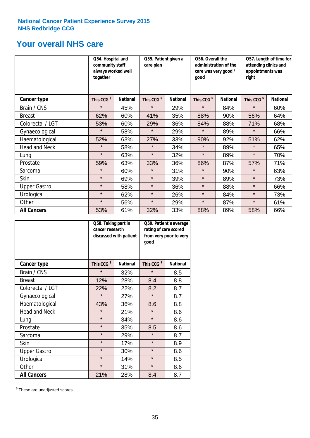## **Your overall NHS care**

|                      | together               | Q54. Hospital and<br>community staff<br>always worked well |                        | Q55. Patient given a<br>care plan |                        | Q56. Overall the<br>administration of the<br>care was very good /<br>qood |                        | Q57. Length of time for<br>attending clinics and<br>appointments was<br>right |  |
|----------------------|------------------------|------------------------------------------------------------|------------------------|-----------------------------------|------------------------|---------------------------------------------------------------------------|------------------------|-------------------------------------------------------------------------------|--|
| <b>Cancer type</b>   | This CCG <sup>\$</sup> | <b>National</b>                                            | This CCG <sup>\$</sup> | <b>National</b>                   | This CCG <sup>\$</sup> | <b>National</b>                                                           | This CCG <sup>\$</sup> | <b>National</b>                                                               |  |
| Brain / CNS          | $\star$                | 45%                                                        | $\star$                | 29%                               | $\star$                | 84%                                                                       | $\star$                | 60%                                                                           |  |
| <b>Breast</b>        | 62%                    | 60%                                                        | 41%                    | 35%                               | 88%                    | 90%                                                                       | 56%                    | 64%                                                                           |  |
| Colorectal / LGT     | 53%                    | 60%                                                        | 29%                    | 36%                               | 84%                    | 88%                                                                       | 71%                    | 68%                                                                           |  |
| Gynaecological       | $\star$                | 58%                                                        | $\star$                | 29%                               | $\star$                | 89%                                                                       | $\star$                | 66%                                                                           |  |
| Haematological       | 52%                    | 63%                                                        | 27%                    | 33%                               | 90%                    | 92%                                                                       | 51%                    | 62%                                                                           |  |
| <b>Head and Neck</b> | $\star$                | 58%                                                        | $\star$                | 34%                               | $\star$                | 89%                                                                       | $\star$                | 65%                                                                           |  |
| Lung                 | $\star$                | 63%                                                        | $\star$                | 32%                               | $\star$                | 89%                                                                       | $\star$                | 70%                                                                           |  |
| Prostate             | 59%                    | 63%                                                        | 33%                    | 36%                               | 86%                    | 87%                                                                       | 57%                    | 71%                                                                           |  |
| Sarcoma              | $\star$                | 60%                                                        | $\star$                | 31%                               | $\star$                | 90%                                                                       | $\star$                | 63%                                                                           |  |
| Skin                 | $\star$                | 69%                                                        | $\star$                | 39%                               | $\star$                | 89%                                                                       | $\star$                | 73%                                                                           |  |
| <b>Upper Gastro</b>  | $\star$                | 58%                                                        | $\star$                | 36%                               | $\star$                | 88%                                                                       | $\star$                | 66%                                                                           |  |
| Urological           | $\star$                | 62%                                                        | $\star$                | 26%                               | $\star$                | 84%                                                                       | $\star$                | 73%                                                                           |  |
| Other                | $\star$                | 56%                                                        | $\star$                | 29%                               | $\star$                | 87%                                                                       | $\star$                | 61%                                                                           |  |
| <b>All Cancers</b>   | 53%                    | 61%                                                        | 32%                    | 33%                               | 88%                    | 89%                                                                       | 58%                    | 66%                                                                           |  |

|                      | Q58. Taking part in<br>cancer research | discussed with patient | Q59. Patient's average<br>rating of care scored<br>from very poor to very<br>good |                 |  |
|----------------------|----------------------------------------|------------------------|-----------------------------------------------------------------------------------|-----------------|--|
| <b>Cancer type</b>   | This CCG <sup>\$</sup>                 | <b>National</b>        | This CCG <sup>\$</sup>                                                            | <b>National</b> |  |
| Brain / CNS          | $\star$                                | 32%                    | $\star$                                                                           | 8.5             |  |
| <b>Breast</b>        | 12%                                    | 28%                    | 8.4                                                                               | 8.8             |  |
| Colorectal / LGT     | 22%                                    | 22%                    | 8.2                                                                               | 8.7             |  |
| Gynaecological       | $\star$                                | 27%                    | $\star$                                                                           | 8.7             |  |
| Haematological       | 43%                                    | 36%                    | 8.6                                                                               | 8.8             |  |
| <b>Head and Neck</b> | $\star$                                | 21%                    | $\star$                                                                           | 8.6             |  |
| Lung                 | $\star$                                | 34%                    | $\star$                                                                           | 8.6             |  |
| Prostate             | $\star$                                | 35%                    | 8.5                                                                               | 8.6             |  |
| Sarcoma              | $\star$                                | 29%                    | $\star$                                                                           | 8.7             |  |
| Skin                 | $\star$                                | 17%                    | $\star$                                                                           | 8.9             |  |
| <b>Upper Gastro</b>  | $\star$                                | 30%                    | $\star$                                                                           | 8.6             |  |
| Urological           | $\star$                                | 14%                    | $\star$                                                                           | 8.5             |  |
| Other                | $\star$                                | 31%                    | $\star$                                                                           | 8.6             |  |
| <b>All Cancers</b>   | 21%                                    | 28%                    | 8.4                                                                               | 8.7             |  |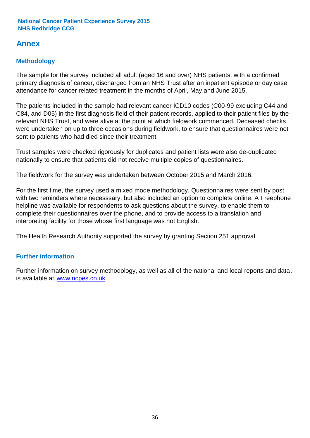## **Annex**

## **Methodology**

The sample for the survey included all adult (aged 16 and over) NHS patients, with a confirmed primary diagnosis of cancer, discharged from an NHS Trust after an inpatient episode or day case attendance for cancer related treatment in the months of April, May and June 2015.

The patients included in the sample had relevant cancer ICD10 codes (C00-99 excluding C44 and C84, and D05) in the first diagnosis field of their patient records, applied to their patient files by the relevant NHS Trust, and were alive at the point at which fieldwork commenced. Deceased checks were undertaken on up to three occasions during fieldwork, to ensure that questionnaires were not sent to patients who had died since their treatment.

Trust samples were checked rigorously for duplicates and patient lists were also de-duplicated nationally to ensure that patients did not receive multiple copies of questionnaires.

The fieldwork for the survey was undertaken between October 2015 and March 2016.

For the first time, the survey used a mixed mode methodology. Questionnaires were sent by post with two reminders where necesssary, but also included an option to complete online. A Freephone helpline was available for respondents to ask questions about the survey, to enable them to complete their questionnaires over the phone, and to provide access to a translation and interpreting facility for those whose first language was not English.

The Health Research Authority supported the survey by granting Section 251 approval.

## **Further information**

Further information on survey methodology, as well as all of the national and local reports and data, is available at www.ncpes.co.uk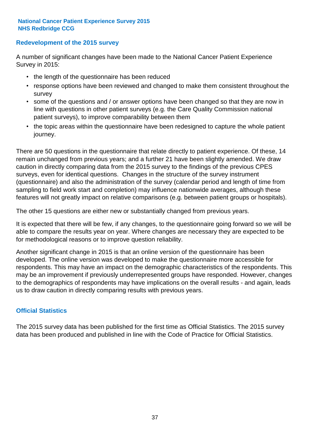### **Redevelopment of the 2015 survey**

A number of significant changes have been made to the National Cancer Patient Experience Survey in 2015:

- the length of the questionnaire has been reduced
- response options have been reviewed and changed to make them consistent throughout the survey
- some of the questions and / or answer options have been changed so that they are now in line with questions in other patient surveys (e.g. the Care Quality Commission national patient surveys), to improve comparability between them
- the topic areas within the questionnaire have been redesigned to capture the whole patient journey.

There are 50 questions in the questionnaire that relate directly to patient experience. Of these, 14 remain unchanged from previous years; and a further 21 have been slightly amended. We draw caution in directly comparing data from the 2015 survey to the findings of the previous CPES surveys, even for identical questions. Changes in the structure of the survey instrument (questionnaire) and also the administration of the survey (calendar period and length of time from sampling to field work start and completion) may influence nationwide averages, although these features will not greatly impact on relative comparisons (e.g. between patient groups or hospitals).

The other 15 questions are either new or substantially changed from previous years.

It is expected that there will be few, if any changes, to the questionnaire going forward so we will be able to compare the results year on year. Where changes are necessary they are expected to be for methodological reasons or to improve question reliability.

Another significant change in 2015 is that an online version of the questionnaire has been developed. The online version was developed to make the questionnaire more accessible for respondents. This may have an impact on the demographic characteristics of the respondents. This may be an improvement if previously underrepresented groups have responded. However, changes to the demographics of respondents may have implications on the overall results - and again, leads us to draw caution in directly comparing results with previous years.

## **Official Statistics**

The 2015 survey data has been published for the first time as Official Statistics. The 2015 survey data has been produced and published in line with the Code of Practice for Official Statistics.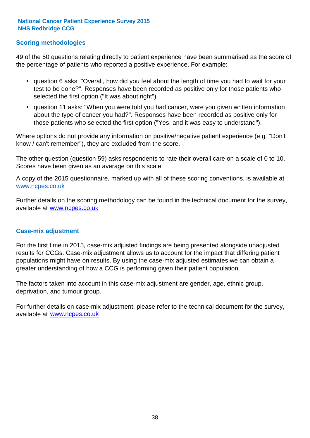## **Scoring methodologies**

49 of the 50 questions relating directly to patient experience have been summarised as the score of the percentage of patients who reported a positive experience. For example:

- question 6 asks: "Overall, how did you feel about the length of time you had to wait for your test to be done?". Responses have been recorded as positive only for those patients who selected the first option ("It was about right")
- question 11 asks: "When you were told you had cancer, were you given written information about the type of cancer you had?". Responses have been recorded as positive only for those patients who selected the first option ("Yes, and it was easy to understand").

Where options do not provide any information on positive/negative patient experience (e.g. "Don't know / can't remember"), they are excluded from the score.

The other question (question 59) asks respondents to rate their overall care on a scale of 0 to 10. Scores have been given as an average on this scale.

A copy of the 2015 questionnaire, marked up with all of these scoring conventions, is available at www.ncpes.co.uk

Further details on the scoring methodology can be found in the technical document for the survey, available at <u>www.ncpes.co.uk</u>

#### **Case-mix adjustment**

For the first time in 2015, case-mix adjusted findings are being presented alongside unadjusted results for CCGs. Case-mix adjustment allows us to account for the impact that differing patient populations might have on results. By using the case-mix adjusted estimates we can obtain a greater understanding of how a CCG is performing given their patient population.

The factors taken into account in this case-mix adjustment are gender, age, ethnic group, deprivation, and tumour group.

For further details on case-mix adjustment, please refer to the technical document for the survey, available at www.ncpes.co.uk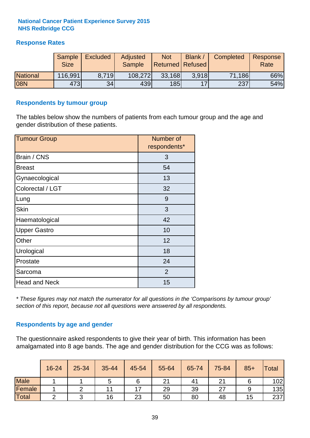## **Response Rates**

|                 | Sample<br><b>Size</b> | <b>Excluded</b> | Adjusted<br><b>Sample</b> | <b>Not</b><br><b>Returned Refused</b> | Blank / | Completed | Response<br>Rate |
|-----------------|-----------------------|-----------------|---------------------------|---------------------------------------|---------|-----------|------------------|
| <b>National</b> | 116,991               | 8.719           | 108,272                   | 33,168                                | 3.918   | 71,186    | 66%              |
| 08N             | 473                   | 34              | 439                       | 185                                   | 17      | 237       | 54%              |

### **Respondents by tumour group**

The tables below show the numbers of patients from each tumour group and the age and gender distribution of these patients.

| <b>Tumour Group</b>  | Number of<br>respondents* |
|----------------------|---------------------------|
| Brain / CNS          | 3                         |
| <b>Breast</b>        | 54                        |
| Gynaecological       | 13                        |
| Colorectal / LGT     | 32                        |
| Lung                 | 9                         |
| <b>Skin</b>          | 3                         |
| Haematological       | 42                        |
| <b>Upper Gastro</b>  | 10                        |
| Other                | 12                        |
| Urological           | 18                        |
| Prostate             | 24                        |
| Sarcoma              | 2                         |
| <b>Head and Neck</b> | 15                        |

*\* These figures may not match the numerator for all questions in the 'Comparisons by tumour group' section of this report, because not all questions were answered by all respondents.*

## **Respondents by age and gender**

The questionnaire asked respondents to give their year of birth. This information has been amalgamated into 8 age bands. The age and gender distribution for the CCG was as follows:

|             | 16-24 | 25-34 | 35-44 | 45-54                    | 55-64 | 65-74 | 75-84 | $85+$ | Total |
|-------------|-------|-------|-------|--------------------------|-------|-------|-------|-------|-------|
| <b>Male</b> |       |       |       | O                        | 21    | 41    |       |       | 102   |
| Female      |       |       | 11    | $\overline{\phantom{a}}$ | 29    | 39    | 27    |       | 135   |
| Total       |       |       | 16    | 23                       | 50    | 80    | 48    | 15    | 237   |